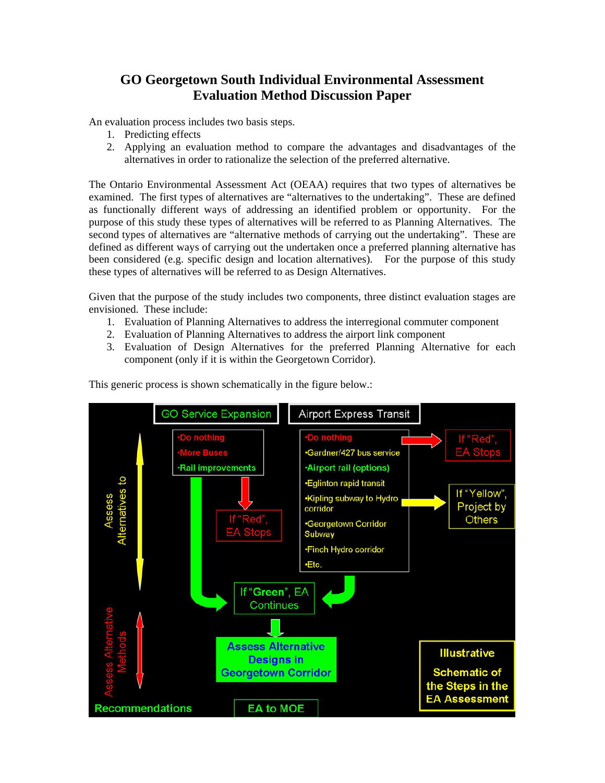# **GO Georgetown South Individual Environmental Assessment Evaluation Method Discussion Paper**

An evaluation process includes two basis steps.

- 1. Predicting effects
- 2. Applying an evaluation method to compare the advantages and disadvantages of the alternatives in order to rationalize the selection of the preferred alternative.

The Ontario Environmental Assessment Act (OEAA) requires that two types of alternatives be examined. The first types of alternatives are "alternatives to the undertaking". These are defined as functionally different ways of addressing an identified problem or opportunity. For the purpose of this study these types of alternatives will be referred to as Planning Alternatives. The second types of alternatives are "alternative methods of carrying out the undertaking". These are defined as different ways of carrying out the undertaken once a preferred planning alternative has been considered (e.g. specific design and location alternatives). For the purpose of this study these types of alternatives will be referred to as Design Alternatives.

Given that the purpose of the study includes two components, three distinct evaluation stages are envisioned. These include:

- 1. Evaluation of Planning Alternatives to address the interregional commuter component
- 2. Evaluation of Planning Alternatives to address the airport link component
- 3. Evaluation of Design Alternatives for the preferred Planning Alternative for each component (only if it is within the Georgetown Corridor).



This generic process is shown schematically in the figure below.: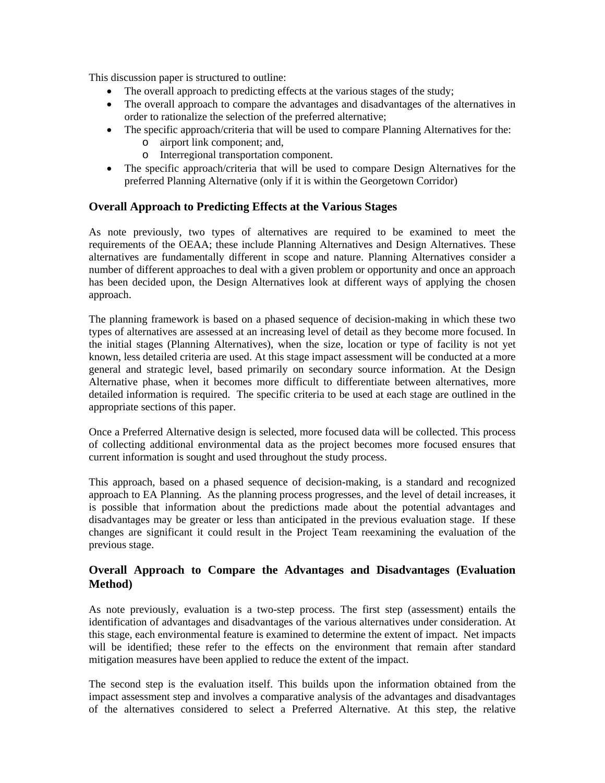This discussion paper is structured to outline:

- The overall approach to predicting effects at the various stages of the study;
- The overall approach to compare the advantages and disadvantages of the alternatives in order to rationalize the selection of the preferred alternative;
- The specific approach/criteria that will be used to compare Planning Alternatives for the:
	- o airport link component; and,
	- o Interregional transportation component.
- The specific approach/criteria that will be used to compare Design Alternatives for the preferred Planning Alternative (only if it is within the Georgetown Corridor)

## **Overall Approach to Predicting Effects at the Various Stages**

As note previously, two types of alternatives are required to be examined to meet the requirements of the OEAA; these include Planning Alternatives and Design Alternatives. These alternatives are fundamentally different in scope and nature. Planning Alternatives consider a number of different approaches to deal with a given problem or opportunity and once an approach has been decided upon, the Design Alternatives look at different ways of applying the chosen approach.

The planning framework is based on a phased sequence of decision-making in which these two types of alternatives are assessed at an increasing level of detail as they become more focused. In the initial stages (Planning Alternatives), when the size, location or type of facility is not yet known, less detailed criteria are used. At this stage impact assessment will be conducted at a more general and strategic level, based primarily on secondary source information. At the Design Alternative phase, when it becomes more difficult to differentiate between alternatives, more detailed information is required. The specific criteria to be used at each stage are outlined in the appropriate sections of this paper.

Once a Preferred Alternative design is selected, more focused data will be collected. This process of collecting additional environmental data as the project becomes more focused ensures that current information is sought and used throughout the study process.

This approach, based on a phased sequence of decision-making, is a standard and recognized approach to EA Planning. As the planning process progresses, and the level of detail increases, it is possible that information about the predictions made about the potential advantages and disadvantages may be greater or less than anticipated in the previous evaluation stage. If these changes are significant it could result in the Project Team reexamining the evaluation of the previous stage.

## **Overall Approach to Compare the Advantages and Disadvantages (Evaluation Method)**

As note previously, evaluation is a two-step process. The first step (assessment) entails the identification of advantages and disadvantages of the various alternatives under consideration. At this stage, each environmental feature is examined to determine the extent of impact. Net impacts will be identified; these refer to the effects on the environment that remain after standard mitigation measures have been applied to reduce the extent of the impact.

The second step is the evaluation itself. This builds upon the information obtained from the impact assessment step and involves a comparative analysis of the advantages and disadvantages of the alternatives considered to select a Preferred Alternative. At this step, the relative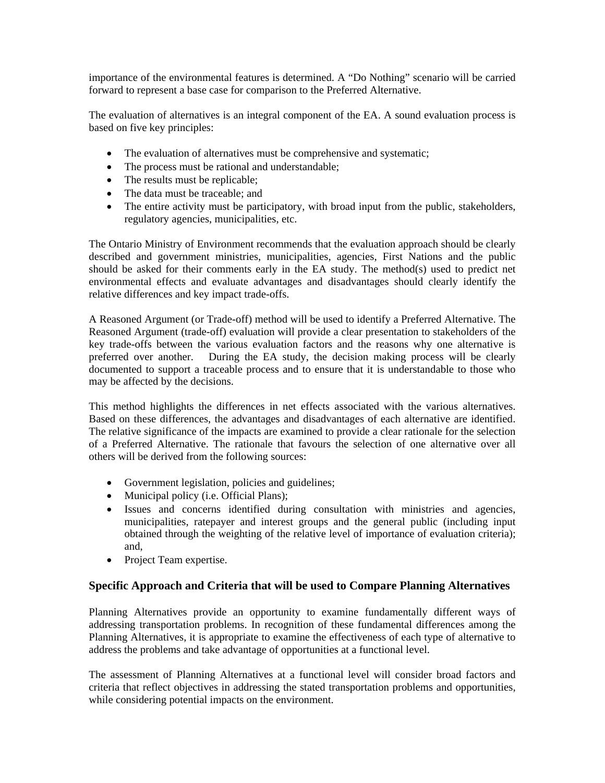importance of the environmental features is determined. A "Do Nothing" scenario will be carried forward to represent a base case for comparison to the Preferred Alternative.

The evaluation of alternatives is an integral component of the EA. A sound evaluation process is based on five key principles:

- The evaluation of alternatives must be comprehensive and systematic;
- The process must be rational and understandable;
- The results must be replicable;
- The data must be traceable; and
- The entire activity must be participatory, with broad input from the public, stakeholders, regulatory agencies, municipalities, etc.

The Ontario Ministry of Environment recommends that the evaluation approach should be clearly described and government ministries, municipalities, agencies, First Nations and the public should be asked for their comments early in the EA study. The method(s) used to predict net environmental effects and evaluate advantages and disadvantages should clearly identify the relative differences and key impact trade-offs.

A Reasoned Argument (or Trade-off) method will be used to identify a Preferred Alternative. The Reasoned Argument (trade-off) evaluation will provide a clear presentation to stakeholders of the key trade-offs between the various evaluation factors and the reasons why one alternative is preferred over another. During the EA study, the decision making process will be clearly documented to support a traceable process and to ensure that it is understandable to those who may be affected by the decisions.

This method highlights the differences in net effects associated with the various alternatives. Based on these differences, the advantages and disadvantages of each alternative are identified. The relative significance of the impacts are examined to provide a clear rationale for the selection of a Preferred Alternative. The rationale that favours the selection of one alternative over all others will be derived from the following sources:

- Government legislation, policies and guidelines;
- Municipal policy (i.e. Official Plans);
- Issues and concerns identified during consultation with ministries and agencies, municipalities, ratepayer and interest groups and the general public (including input obtained through the weighting of the relative level of importance of evaluation criteria); and,
- Project Team expertise.

#### **Specific Approach and Criteria that will be used to Compare Planning Alternatives**

Planning Alternatives provide an opportunity to examine fundamentally different ways of addressing transportation problems. In recognition of these fundamental differences among the Planning Alternatives, it is appropriate to examine the effectiveness of each type of alternative to address the problems and take advantage of opportunities at a functional level.

The assessment of Planning Alternatives at a functional level will consider broad factors and criteria that reflect objectives in addressing the stated transportation problems and opportunities, while considering potential impacts on the environment.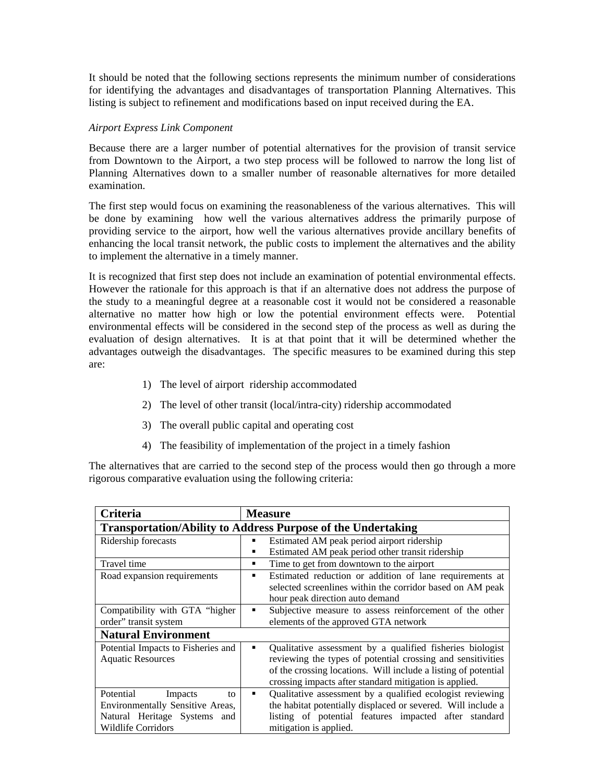It should be noted that the following sections represents the minimum number of considerations for identifying the advantages and disadvantages of transportation Planning Alternatives. This listing is subject to refinement and modifications based on input received during the EA.

#### *Airport Express Link Component*

Because there are a larger number of potential alternatives for the provision of transit service from Downtown to the Airport, a two step process will be followed to narrow the long list of Planning Alternatives down to a smaller number of reasonable alternatives for more detailed examination.

The first step would focus on examining the reasonableness of the various alternatives. This will be done by examining how well the various alternatives address the primarily purpose of providing service to the airport, how well the various alternatives provide ancillary benefits of enhancing the local transit network, the public costs to implement the alternatives and the ability to implement the alternative in a timely manner.

It is recognized that first step does not include an examination of potential environmental effects. However the rationale for this approach is that if an alternative does not address the purpose of the study to a meaningful degree at a reasonable cost it would not be considered a reasonable alternative no matter how high or low the potential environment effects were. Potential environmental effects will be considered in the second step of the process as well as during the evaluation of design alternatives. It is at that point that it will be determined whether the advantages outweigh the disadvantages. The specific measures to be examined during this step are:

- 1) The level of airport ridership accommodated
- 2) The level of other transit (local/intra-city) ridership accommodated
- 3) The overall public capital and operating cost
- 4) The feasibility of implementation of the project in a timely fashion

The alternatives that are carried to the second step of the process would then go through a more rigorous comparative evaluation using the following criteria:

| <b>Criteria</b>                                                     | <b>Measure</b>                                                 |
|---------------------------------------------------------------------|----------------------------------------------------------------|
| <b>Transportation/Ability to Address Purpose of the Undertaking</b> |                                                                |
| Ridership forecasts                                                 | Estimated AM peak period airport ridership<br>п                |
|                                                                     | Estimated AM peak period other transit ridership<br>٠          |
| Travel time                                                         | Time to get from downtown to the airport<br>٠                  |
| Road expansion requirements                                         | Estimated reduction or addition of lane requirements at<br>п   |
|                                                                     | selected screenlines within the corridor based on AM peak      |
|                                                                     | hour peak direction auto demand                                |
| Compatibility with GTA "higher                                      | Subjective measure to assess reinforcement of the other<br>٠   |
| order" transit system                                               | elements of the approved GTA network                           |
| <b>Natural Environment</b>                                          |                                                                |
| Potential Impacts to Fisheries and                                  | Qualitative assessment by a qualified fisheries biologist<br>٠ |
| <b>Aquatic Resources</b>                                            | reviewing the types of potential crossing and sensitivities    |
|                                                                     | of the crossing locations. Will include a listing of potential |
|                                                                     | crossing impacts after standard mitigation is applied.         |
| Potential<br>Impacts<br>to                                          | Qualitative assessment by a qualified ecologist reviewing<br>٠ |
| Environmentally Sensitive Areas,                                    | the habitat potentially displaced or severed. Will include a   |
| Natural Heritage Systems<br>and                                     | listing of potential features impacted after standard          |
| <b>Wildlife Corridors</b>                                           | mitigation is applied.                                         |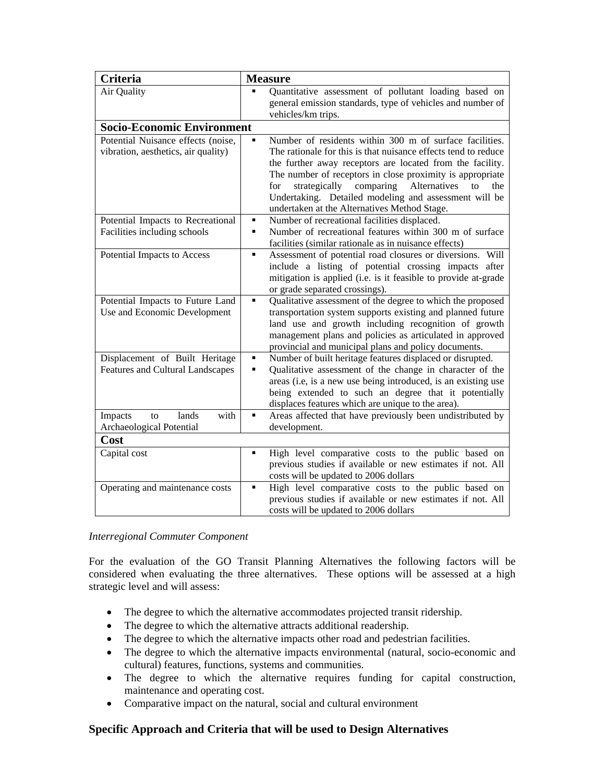| <b>Criteria</b>                                                           | <b>Measure</b>                                                                                                                                                                                                                                                                                                                                                                                                           |  |
|---------------------------------------------------------------------------|--------------------------------------------------------------------------------------------------------------------------------------------------------------------------------------------------------------------------------------------------------------------------------------------------------------------------------------------------------------------------------------------------------------------------|--|
| Air Quality                                                               | Quantitative assessment of pollutant loading based on<br>general emission standards, type of vehicles and number of<br>vehicles/km trips.                                                                                                                                                                                                                                                                                |  |
| <b>Socio-Economic Environment</b>                                         |                                                                                                                                                                                                                                                                                                                                                                                                                          |  |
| Potential Nuisance effects (noise,<br>vibration, aesthetics, air quality) | Number of residents within 300 m of surface facilities.<br>The rationale for this is that nuisance effects tend to reduce<br>the further away receptors are located from the facility.<br>The number of receptors in close proximity is appropriate<br>strategically comparing Alternatives<br>to<br>for<br>the<br>Undertaking. Detailed modeling and assessment will be<br>undertaken at the Alternatives Method Stage. |  |
| Potential Impacts to Recreational<br>Facilities including schools         | Number of recreational facilities displaced.<br>٠<br>Number of recreational features within 300 m of surface<br>٠<br>facilities (similar rationale as in nuisance effects)                                                                                                                                                                                                                                               |  |
| Potential Impacts to Access                                               | Assessment of potential road closures or diversions.<br>Will<br>×,<br>include a listing of potential crossing impacts after<br>mitigation is applied (i.e. is it feasible to provide at-grade<br>or grade separated crossings).                                                                                                                                                                                          |  |
| Potential Impacts to Future Land<br>Use and Economic Development          | Qualitative assessment of the degree to which the proposed<br>٠<br>transportation system supports existing and planned future<br>land use and growth including recognition of growth<br>management plans and policies as articulated in approved<br>provincial and municipal plans and policy documents.                                                                                                                 |  |
| Displacement of Built Heritage<br><b>Features and Cultural Landscapes</b> | Number of built heritage features displaced or disrupted.<br>٠<br>Qualitative assessment of the change in character of the<br>٠<br>areas (i.e, is a new use being introduced, is an existing use<br>being extended to such an degree that it potentially<br>displaces features which are unique to the area).                                                                                                            |  |
| lands<br>with<br>Impacts<br>to<br>Archaeological Potential                | Areas affected that have previously been undistributed by<br>٠<br>development.                                                                                                                                                                                                                                                                                                                                           |  |
| Cost                                                                      |                                                                                                                                                                                                                                                                                                                                                                                                                          |  |
| Capital cost                                                              | High level comparative costs to the public based on<br>previous studies if available or new estimates if not. All<br>costs will be updated to 2006 dollars                                                                                                                                                                                                                                                               |  |
| Operating and maintenance costs                                           | High level comparative costs to the public based on<br>٠<br>previous studies if available or new estimates if not. All<br>costs will be updated to 2006 dollars                                                                                                                                                                                                                                                          |  |

#### *Interregional Commuter Component*

For the evaluation of the GO Transit Planning Alternatives the following factors will be considered when evaluating the three alternatives. These options will be assessed at a high strategic level and will assess:

- The degree to which the alternative accommodates projected transit ridership.
- The degree to which the alternative attracts additional readership.
- The degree to which the alternative impacts other road and pedestrian facilities.
- The degree to which the alternative impacts environmental (natural, socio-economic and cultural) features, functions, systems and communities.
- The degree to which the alternative requires funding for capital construction, maintenance and operating cost.
- Comparative impact on the natural, social and cultural environment

# **Specific Approach and Criteria that will be used to Design Alternatives**